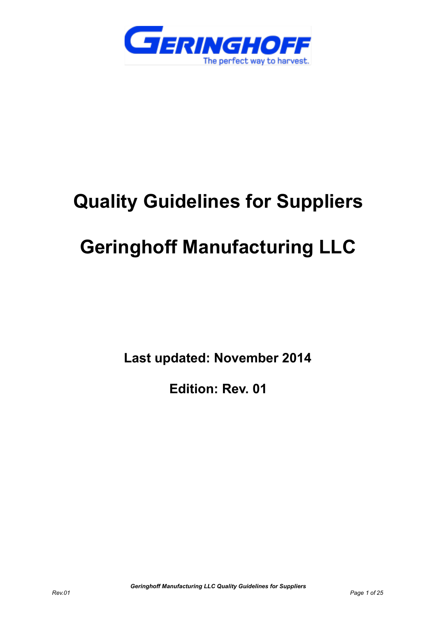

# **Quality Guidelines for Suppliers**

## **Geringhoff Manufacturing LLC**

**Last updated: November 2014**

**Edition: Rev. 01**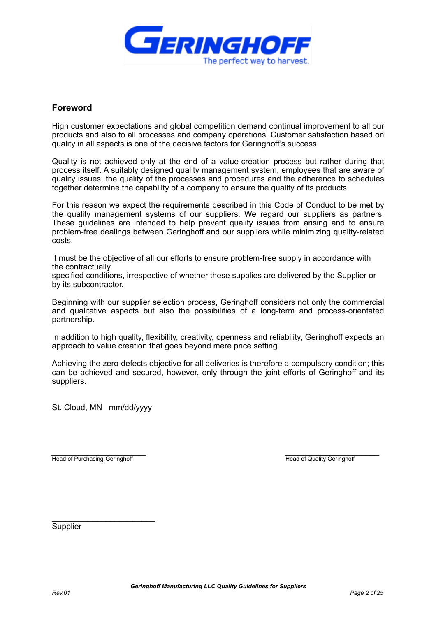

### **Foreword**

High customer expectations and global competition demand continual improvement to all our products and also to all processes and company operations. Customer satisfaction based on quality in all aspects is one of the decisive factors for Geringhoff's success.

Quality is not achieved only at the end of a value-creation process but rather during that process itself. A suitably designed quality management system, employees that are aware of quality issues, the quality of the processes and procedures and the adherence to schedules together determine the capability of a company to ensure the quality of its products.

For this reason we expect the requirements described in this Code of Conduct to be met by the quality management systems of our suppliers. We regard our suppliers as partners. These guidelines are intended to help prevent quality issues from arising and to ensure problem-free dealings between Geringhoff and our suppliers while minimizing quality-related costs.

It must be the objective of all our efforts to ensure problem-free supply in accordance with the contractually

specified conditions, irrespective of whether these supplies are delivered by the Supplier or by its subcontractor.

Beginning with our supplier selection process, Geringhoff considers not only the commercial and qualitative aspects but also the possibilities of a long-term and process-orientated partnership.

In addition to high quality, flexibility, creativity, openness and reliability, Geringhoff expects an approach to value creation that goes beyond mere price setting.

Achieving the zero-defects objective for all deliveries is therefore a compulsory condition; this can be achieved and secured, however, only through the joint efforts of Geringhoff and its suppliers.

St. Cloud, MN mm/dd/yyyy

*\_\_\_\_\_\_\_\_\_\_\_\_\_\_\_\_\_\_\_\_\_ \_\_\_\_\_\_\_\_\_\_\_\_\_\_\_\_\_\_\_\_\_* Head of Purchasing Geringhoff **Head of Quality Geringhoff** Head of Quality Geringhoff

\_\_\_\_\_\_\_\_\_\_\_\_\_\_\_\_\_\_\_\_\_\_\_

**Supplier**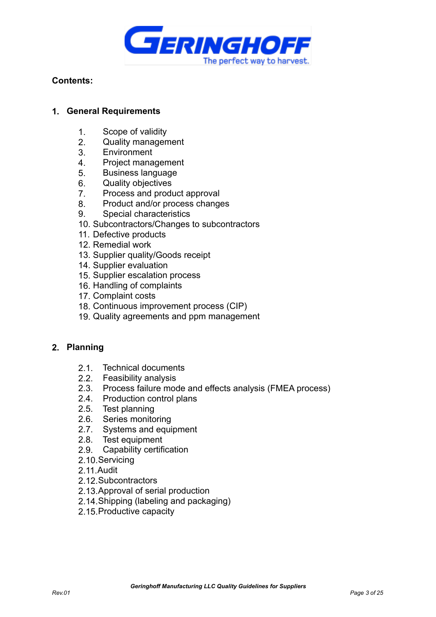

## **Contents:**

## **1. General Requirements**

- 1. Scope of validity
- 2. Quality management
- 3. Environment
- 4. Project management
- 5. Business language
- 6. Quality objectives
- 7. Process and product approval
- 8. Product and/or process changes
- 9. Special characteristics
- 10. Subcontractors/Changes to subcontractors
- 11. Defective products
- 12. Remedial work
- 13. Supplier quality/Goods receipt
- 14. Supplier evaluation
- 15. Supplier escalation process
- 16. Handling of complaints
- 17. Complaint costs
- 18. Continuous improvement process (CIP)
- 19. Quality agreements and ppm management

## **2. Planning**

- 2.1. Technical documents
- 2.2. Feasibility analysis
- 2.3. Process failure mode and effects analysis (FMEA process)
- 2.4. Production control plans
- 2.5. Test planning
- 2.6. Series monitoring
- 2.7. Systems and equipment
- 2.8. Test equipment
- 2.9. Capability certification
- 2.10.Servicing
- 2.11.Audit
- 2.12.Subcontractors
- 2.13.Approval of serial production
- 2.14.Shipping (labeling and packaging)
- 2.15.Productive capacity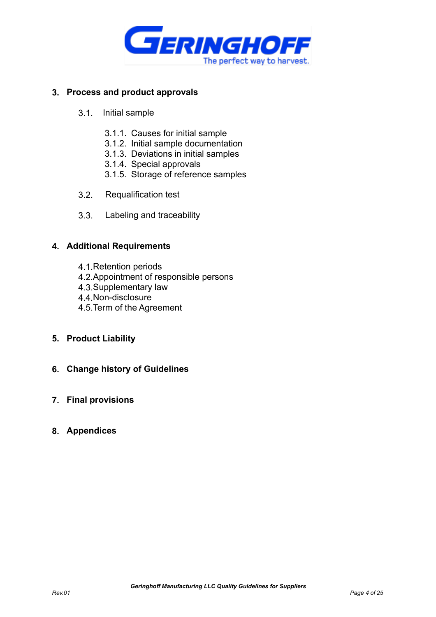

## **3. Process and product approvals**

- 3.1. Initial sample
	- 3.1.1. Causes for initial sample
	- 3.1.2. Initial sample documentation
	- 3.1.3. Deviations in initial samples
	- 3.1.4. Special approvals
	- 3.1.5. Storage of reference samples
- 3.2. Requalification test
- 3.3. Labeling and traceability

### **4. Additional Requirements**

- 4.1.Retention periods
- 4.2.Appointment of responsible persons
- 4.3.Supplementary law
- 4.4.Non-disclosure
- 4.5.Term of the Agreement

## **5. Product Liability**

**6. Change history of Guidelines**

## **7. Final provisions**

## **8. Appendices**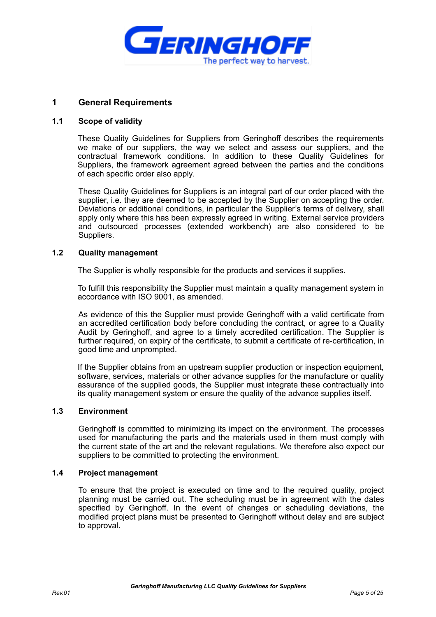

## **1 General Requirements**

#### **1.1 Scope of validity**

These Quality Guidelines for Suppliers from Geringhoff describes the requirements we make of our suppliers, the way we select and assess our suppliers, and the contractual framework conditions. In addition to these Quality Guidelines for Suppliers, the framework agreement agreed between the parties and the conditions of each specific order also apply.

These Quality Guidelines for Suppliers is an integral part of our order placed with the supplier, i.e. they are deemed to be accepted by the Supplier on accepting the order. Deviations or additional conditions, in particular the Supplier's terms of delivery, shall apply only where this has been expressly agreed in writing. External service providers and outsourced processes (extended workbench) are also considered to be Suppliers.

#### **1.2 Quality management**

The Supplier is wholly responsible for the products and services it supplies.

To fulfill this responsibility the Supplier must maintain a quality management system in accordance with ISO 9001, as amended.

As evidence of this the Supplier must provide Geringhoff with a valid certificate from an accredited certification body before concluding the contract, or agree to a Quality Audit by Geringhoff, and agree to a timely accredited certification. The Supplier is further required, on expiry of the certificate, to submit a certificate of re-certification, in good time and unprompted.

If the Supplier obtains from an upstream supplier production or inspection equipment, software, services, materials or other advance supplies for the manufacture or quality assurance of the supplied goods, the Supplier must integrate these contractually into its quality management system or ensure the quality of the advance supplies itself.

#### **1.3 Environment**

Geringhoff is committed to minimizing its impact on the environment. The processes used for manufacturing the parts and the materials used in them must comply with the current state of the art and the relevant regulations. We therefore also expect our suppliers to be committed to protecting the environment.

#### **1.4 Project management**

To ensure that the project is executed on time and to the required quality, project planning must be carried out. The scheduling must be in agreement with the dates specified by Geringhoff. In the event of changes or scheduling deviations, the modified project plans must be presented to Geringhoff without delay and are subject to approval.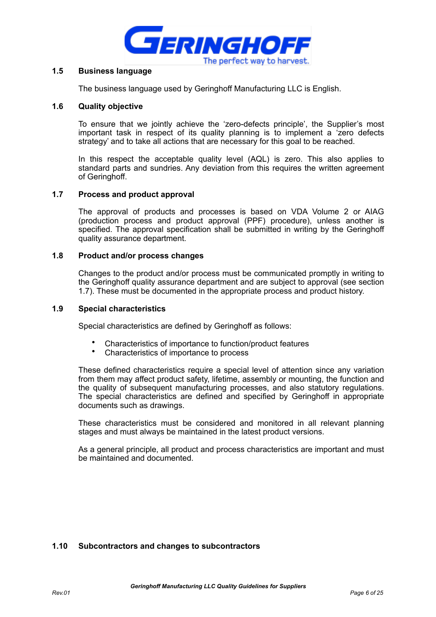

#### **1.5 Business language**

The business language used by Geringhoff Manufacturing LLC is English.

#### **1.6 Quality objective**

To ensure that we jointly achieve the 'zero-defects principle', the Supplier's most important task in respect of its quality planning is to implement a 'zero defects strategy' and to take all actions that are necessary for this goal to be reached.

In this respect the acceptable quality level (AQL) is zero. This also applies to standard parts and sundries. Any deviation from this requires the written agreement of Geringhoff.

#### **1.7 Process and product approval**

The approval of products and processes is based on VDA Volume 2 or AIAG (production process and product approval (PPF) procedure), unless another is specified. The approval specification shall be submitted in writing by the Geringhoff quality assurance department.

#### **1.8 Product and/or process changes**

Changes to the product and/or process must be communicated promptly in writing to the Geringhoff quality assurance department and are subject to approval (see section 1.7). These must be documented in the appropriate process and product history.

#### **1.9 Special characteristics**

Special characteristics are defined by Geringhoff as follows:

- Characteristics of importance to function/product features
- Characteristics of importance to process

These defined characteristics require a special level of attention since any variation from them may affect product safety, lifetime, assembly or mounting, the function and the quality of subsequent manufacturing processes, and also statutory regulations. The special characteristics are defined and specified by Geringhoff in appropriate documents such as drawings.

These characteristics must be considered and monitored in all relevant planning stages and must always be maintained in the latest product versions.

As a general principle, all product and process characteristics are important and must be maintained and documented.

#### **1.10 Subcontractors and changes to subcontractors**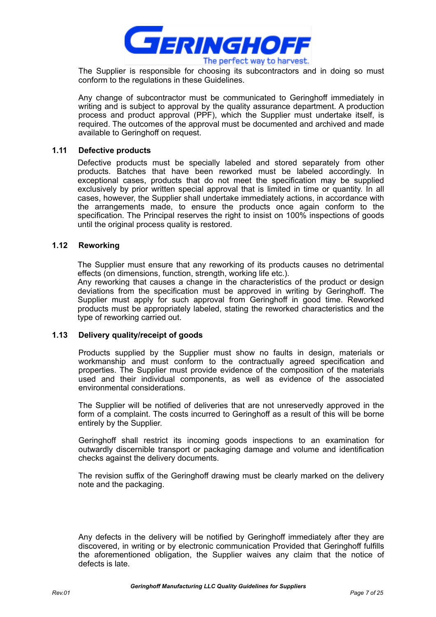

The Supplier is responsible for choosing its subcontractors and in doing so must conform to the regulations in these Guidelines.

Any change of subcontractor must be communicated to Geringhoff immediately in writing and is subject to approval by the quality assurance department. A production process and product approval (PPF), which the Supplier must undertake itself, is required. The outcomes of the approval must be documented and archived and made available to Geringhoff on request.

#### **1.11 Defective products**

Defective products must be specially labeled and stored separately from other products. Batches that have been reworked must be labeled accordingly. In exceptional cases, products that do not meet the specification may be supplied exclusively by prior written special approval that is limited in time or quantity. In all cases, however, the Supplier shall undertake immediately actions, in accordance with the arrangements made, to ensure the products once again conform to the specification. The Principal reserves the right to insist on 100% inspections of goods until the original process quality is restored.

#### **1.12 Reworking**

The Supplier must ensure that any reworking of its products causes no detrimental effects (on dimensions, function, strength, working life etc.).

Any reworking that causes a change in the characteristics of the product or design deviations from the specification must be approved in writing by Geringhoff. The Supplier must apply for such approval from Geringhoff in good time. Reworked products must be appropriately labeled, stating the reworked characteristics and the type of reworking carried out.

#### **1.13 Delivery quality/receipt of goods**

Products supplied by the Supplier must show no faults in design, materials or workmanship and must conform to the contractually agreed specification and properties. The Supplier must provide evidence of the composition of the materials used and their individual components, as well as evidence of the associated environmental considerations.

The Supplier will be notified of deliveries that are not unreservedly approved in the form of a complaint. The costs incurred to Geringhoff as a result of this will be borne entirely by the Supplier.

Geringhoff shall restrict its incoming goods inspections to an examination for outwardly discernible transport or packaging damage and volume and identification checks against the delivery documents.

The revision suffix of the Geringhoff drawing must be clearly marked on the delivery note and the packaging.

Any defects in the delivery will be notified by Geringhoff immediately after they are discovered, in writing or by electronic communication Provided that Geringhoff fulfills the aforementioned obligation, the Supplier waives any claim that the notice of defects is late.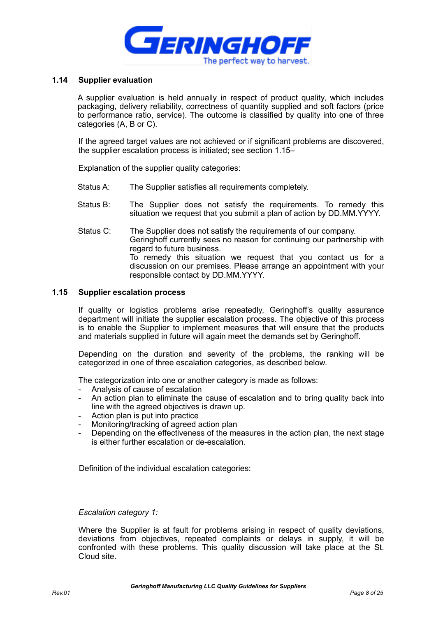

#### **1.14 Supplier evaluation**

A supplier evaluation is held annually in respect of product quality, which includes packaging, delivery reliability, correctness of quantity supplied and soft factors (price to performance ratio, service). The outcome is classified by quality into one of three categories (A, B or C).

If the agreed target values are not achieved or if significant problems are discovered, the supplier escalation process is initiated; see section 1.15–

Explanation of the supplier quality categories:

- Status A: The Supplier satisfies all requirements completely.
- Status B: The Supplier does not satisfy the requirements. To remedy this situation we request that you submit a plan of action by DD.MM.YYYY.
- Status C: The Supplier does not satisfy the requirements of our company. Geringhoff currently sees no reason for continuing our partnership with regard to future business. To remedy this situation we request that you contact us for a discussion on our premises. Please arrange an appointment with your responsible contact by DD.MM.YYYY.

#### **1.15 Supplier escalation process**

If quality or logistics problems arise repeatedly, Geringhoff's quality assurance department will initiate the supplier escalation process. The objective of this process is to enable the Supplier to implement measures that will ensure that the products and materials supplied in future will again meet the demands set by Geringhoff.

Depending on the duration and severity of the problems, the ranking will be categorized in one of three escalation categories, as described below.

The categorization into one or another category is made as follows:

- Analysis of cause of escalation
- An action plan to eliminate the cause of escalation and to bring quality back into line with the agreed objectives is drawn up.
- Action plan is put into practice
- Monitoring/tracking of agreed action plan
- Depending on the effectiveness of the measures in the action plan, the next stage is either further escalation or de-escalation.

Definition of the individual escalation categories:

#### *Escalation category 1:*

Where the Supplier is at fault for problems arising in respect of quality deviations, deviations from objectives, repeated complaints or delays in supply, it will be confronted with these problems. This quality discussion will take place at the St. Cloud site.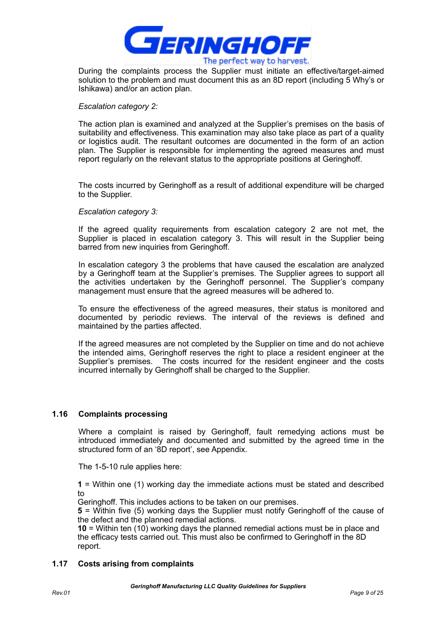

During the complaints process the Supplier must initiate an effective/target-aimed solution to the problem and must document this as an 8D report (including 5 Why's or Ishikawa) and/or an action plan.

#### *Escalation category 2:*

The action plan is examined and analyzed at the Supplier's premises on the basis of suitability and effectiveness. This examination may also take place as part of a quality or logistics audit. The resultant outcomes are documented in the form of an action plan. The Supplier is responsible for implementing the agreed measures and must report regularly on the relevant status to the appropriate positions at Geringhoff.

The costs incurred by Geringhoff as a result of additional expenditure will be charged to the Supplier.

#### *Escalation category 3:*

If the agreed quality requirements from escalation category 2 are not met, the Supplier is placed in escalation category 3. This will result in the Supplier being barred from new inquiries from Geringhoff.

In escalation category 3 the problems that have caused the escalation are analyzed by a Geringhoff team at the Supplier's premises. The Supplier agrees to support all the activities undertaken by the Geringhoff personnel. The Supplier's company management must ensure that the agreed measures will be adhered to.

To ensure the effectiveness of the agreed measures, their status is monitored and documented by periodic reviews. The interval of the reviews is defined and maintained by the parties affected.

If the agreed measures are not completed by the Supplier on time and do not achieve the intended aims, Geringhoff reserves the right to place a resident engineer at the Supplier's premises. The costs incurred for the resident engineer and the costs incurred internally by Geringhoff shall be charged to the Supplier.

#### **1.16 Complaints processing**

Where a complaint is raised by Geringhoff, fault remedying actions must be introduced immediately and documented and submitted by the agreed time in the structured form of an '8D report', see Appendix.

The 1-5-10 rule applies here:

**1** = Within one (1) working day the immediate actions must be stated and described to

Geringhoff. This includes actions to be taken on our premises.

**5** = Within five (5) working days the Supplier must notify Geringhoff of the cause of the defect and the planned remedial actions.

**10** = Within ten (10) working days the planned remedial actions must be in place and the efficacy tests carried out. This must also be confirmed to Geringhoff in the 8D report.

#### **1.17 Costs arising from complaints**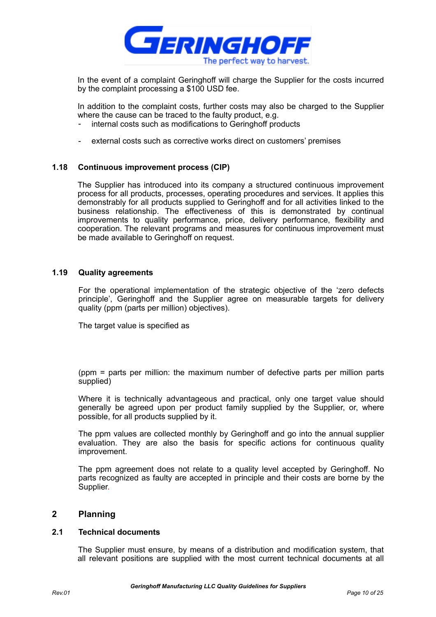

In the event of a complaint Geringhoff will charge the Supplier for the costs incurred by the complaint processing a \$100 USD fee.

In addition to the complaint costs, further costs may also be charged to the Supplier where the cause can be traced to the faulty product, e.g.

- internal costs such as modifications to Geringhoff products
- external costs such as corrective works direct on customers' premises

#### **1.18 Continuous improvement process (CIP)**

The Supplier has introduced into its company a structured continuous improvement process for all products, processes, operating procedures and services. It applies this demonstrably for all products supplied to Geringhoff and for all activities linked to the business relationship. The effectiveness of this is demonstrated by continual improvements to quality performance, price, delivery performance, flexibility and cooperation. The relevant programs and measures for continuous improvement must be made available to Geringhoff on request.

#### **1.19 Quality agreements**

For the operational implementation of the strategic objective of the 'zero defects principle', Geringhoff and the Supplier agree on measurable targets for delivery quality (ppm (parts per million) objectives).

The target value is specified as

(ppm = parts per million: the maximum number of defective parts per million parts supplied)

Where it is technically advantageous and practical, only one target value should generally be agreed upon per product family supplied by the Supplier, or, where possible, for all products supplied by it.

The ppm values are collected monthly by Geringhoff and go into the annual supplier evaluation. They are also the basis for specific actions for continuous quality improvement.

The ppm agreement does not relate to a quality level accepted by Geringhoff. No parts recognized as faulty are accepted in principle and their costs are borne by the Supplier.

#### **2 Planning**

#### **2.1 Technical documents**

 The Supplier must ensure, by means of a distribution and modification system, that all relevant positions are supplied with the most current technical documents at all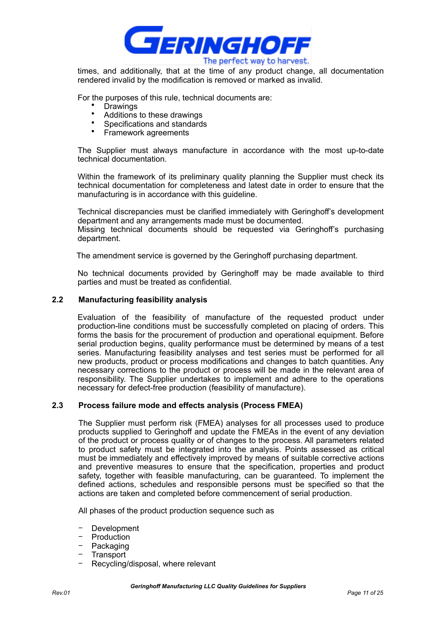

times, and additionally, that at the time of any product change, all documentation rendered invalid by the modification is removed or marked as invalid.

For the purposes of this rule, technical documents are:

- Drawings
- Additions to these drawings
- Specifications and standards
- Framework agreements

The Supplier must always manufacture in accordance with the most up-to-date technical documentation.

Within the framework of its preliminary quality planning the Supplier must check its technical documentation for completeness and latest date in order to ensure that the manufacturing is in accordance with this guideline.

Technical discrepancies must be clarified immediately with Geringhoff's development department and any arrangements made must be documented. Missing technical documents should be requested via Geringhoff's purchasing department.

The amendment service is governed by the Geringhoff purchasing department.

No technical documents provided by Geringhoff may be made available to third parties and must be treated as confidential.

#### **2.2 Manufacturing feasibility analysis**

Evaluation of the feasibility of manufacture of the requested product under production-line conditions must be successfully completed on placing of orders. This forms the basis for the procurement of production and operational equipment. Before serial production begins, quality performance must be determined by means of a test series. Manufacturing feasibility analyses and test series must be performed for all new products, product or process modifications and changes to batch quantities. Any necessary corrections to the product or process will be made in the relevant area of responsibility. The Supplier undertakes to implement and adhere to the operations necessary for defect-free production (feasibility of manufacture).

#### **2.3 Process failure mode and effects analysis (Process FMEA)**

The Supplier must perform risk (FMEA) analyses for all processes used to produce products supplied to Geringhoff and update the FMEAs in the event of any deviation of the product or process quality or of changes to the process. All parameters related to product safety must be integrated into the analysis. Points assessed as critical must be immediately and effectively improved by means of suitable corrective actions and preventive measures to ensure that the specification, properties and product safety, together with feasible manufacturing, can be guaranteed. To implement the defined actions, schedules and responsible persons must be specified so that the actions are taken and completed before commencement of serial production.

All phases of the product production sequence such as

- − Development
- − Production
- − Packaging
- − Transport
- Recycling/disposal, where relevant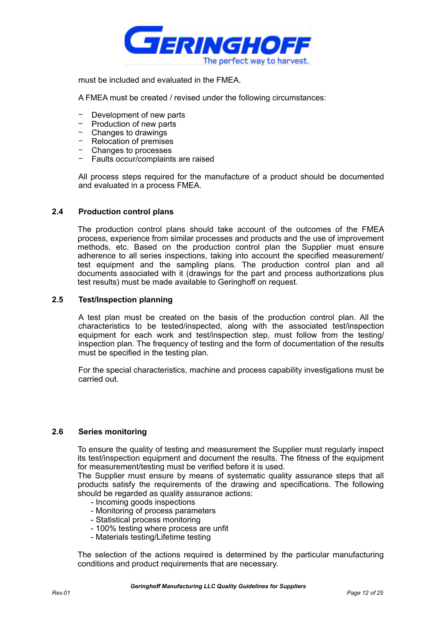

must be included and evaluated in the FMEA.

A FMEA must be created / revised under the following circumstances:

- − Development of new parts
- − Production of new parts
- − Changes to drawings
- − Relocation of premises
- − Changes to processes
- − Faults occur/complaints are raised

All process steps required for the manufacture of a product should be documented and evaluated in a process FMEA.

#### **2.4 Production control plans**

The production control plans should take account of the outcomes of the FMEA process, experience from similar processes and products and the use of improvement methods, etc. Based on the production control plan the Supplier must ensure adherence to all series inspections, taking into account the specified measurement/ test equipment and the sampling plans. The production control plan and all documents associated with it (drawings for the part and process authorizations plus test results) must be made available to Geringhoff on request.

#### **2.5 Test/Inspection planning**

A test plan must be created on the basis of the production control plan. All the characteristics to be tested/inspected, along with the associated test/inspection equipment for each work and test/inspection step, must follow from the testing/ inspection plan. The frequency of testing and the form of documentation of the results must be specified in the testing plan.

For the special characteristics, machine and process capability investigations must be carried out.

#### **2.6 Series monitoring**

To ensure the quality of testing and measurement the Supplier must regularly inspect its test/inspection equipment and document the results. The fitness of the equipment for measurement/testing must be verified before it is used.

The Supplier must ensure by means of systematic quality assurance steps that all products satisfy the requirements of the drawing and specifications. The following should be regarded as quality assurance actions:

- Incoming goods inspections
- Monitoring of process parameters
- Statistical process monitoring
- 100% testing where process are unfit
- Materials testing/Lifetime testing

The selection of the actions required is determined by the particular manufacturing conditions and product requirements that are necessary.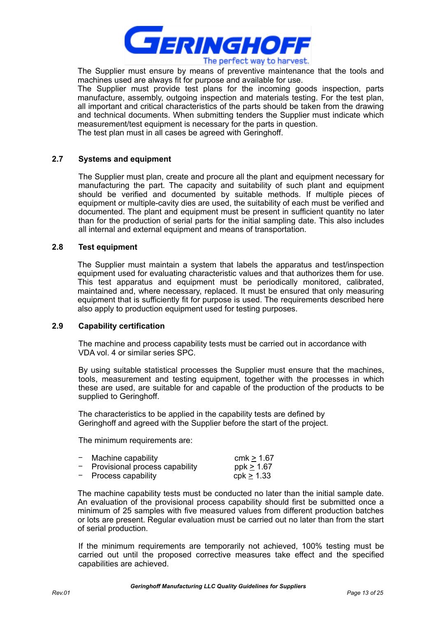

The Supplier must ensure by means of preventive maintenance that the tools and machines used are always fit for purpose and available for use.

The Supplier must provide test plans for the incoming goods inspection, parts manufacture, assembly, outgoing inspection and materials testing. For the test plan, all important and critical characteristics of the parts should be taken from the drawing and technical documents. When submitting tenders the Supplier must indicate which measurement/test equipment is necessary for the parts in question.

The test plan must in all cases be agreed with Geringhoff.

#### **2.7 Systems and equipment**

The Supplier must plan, create and procure all the plant and equipment necessary for manufacturing the part. The capacity and suitability of such plant and equipment should be verified and documented by suitable methods. If multiple pieces of equipment or multiple-cavity dies are used, the suitability of each must be verified and documented. The plant and equipment must be present in sufficient quantity no later than for the production of serial parts for the initial sampling date. This also includes all internal and external equipment and means of transportation.

#### **2.8 Test equipment**

The Supplier must maintain a system that labels the apparatus and test/inspection equipment used for evaluating characteristic values and that authorizes them for use. This test apparatus and equipment must be periodically monitored, calibrated, maintained and, where necessary, replaced. It must be ensured that only measuring equipment that is sufficiently fit for purpose is used. The requirements described here also apply to production equipment used for testing purposes.

#### **2.9 Capability certification**

The machine and process capability tests must be carried out in accordance with VDA vol. 4 or similar series SPC.

By using suitable statistical processes the Supplier must ensure that the machines, tools, measurement and testing equipment, together with the processes in which these are used, are suitable for and capable of the production of the products to be supplied to Geringhoff.

The characteristics to be applied in the capability tests are defined by Geringhoff and agreed with the Supplier before the start of the project.

The minimum requirements are:

| $-$ Machine capability           | cmk $\geq 1.67$ |
|----------------------------------|-----------------|
| - Provisional process capability | ppk $\geq 1.67$ |
| $-$ Process capability           | $cpk \geq 1.33$ |

The machine capability tests must be conducted no later than the initial sample date. An evaluation of the provisional process capability should first be submitted once a minimum of 25 samples with five measured values from different production batches or lots are present. Regular evaluation must be carried out no later than from the start of serial production.

If the minimum requirements are temporarily not achieved, 100% testing must be carried out until the proposed corrective measures take effect and the specified capabilities are achieved.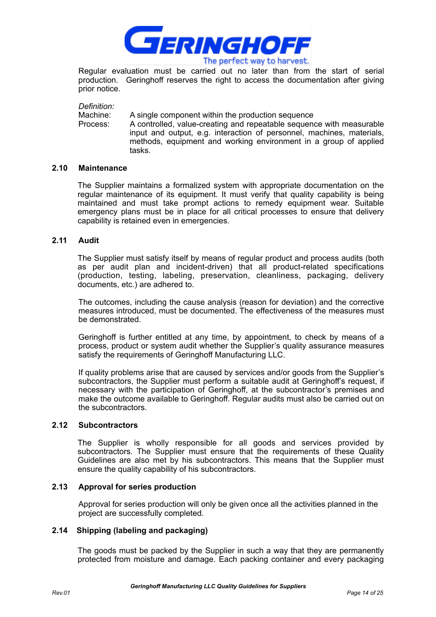

Regular evaluation must be carried out no later than from the start of serial production. Geringhoff reserves the right to access the documentation after giving prior notice.

*Definition:*

Machine: A single component within the production sequence

Process: A controlled, value-creating and repeatable sequence with measurable input and output, e.g. interaction of personnel, machines, materials, methods, equipment and working environment in a group of applied tasks.

#### **2.10 Maintenance**

The Supplier maintains a formalized system with appropriate documentation on the regular maintenance of its equipment. It must verify that quality capability is being maintained and must take prompt actions to remedy equipment wear. Suitable emergency plans must be in place for all critical processes to ensure that delivery capability is retained even in emergencies.

#### **2.11 Audit**

The Supplier must satisfy itself by means of regular product and process audits (both as per audit plan and incident-driven) that all product-related specifications (production, testing, labeling, preservation, cleanliness, packaging, delivery documents, etc.) are adhered to.

The outcomes, including the cause analysis (reason for deviation) and the corrective measures introduced, must be documented. The effectiveness of the measures must be demonstrated.

Geringhoff is further entitled at any time, by appointment, to check by means of a process, product or system audit whether the Supplier's quality assurance measures satisfy the requirements of Geringhoff Manufacturing LLC.

If quality problems arise that are caused by services and/or goods from the Supplier's subcontractors, the Supplier must perform a suitable audit at Geringhoff's request, if necessary with the participation of Geringhoff, at the subcontractor's premises and make the outcome available to Geringhoff. Regular audits must also be carried out on the subcontractors.

#### **2.12 Subcontractors**

The Supplier is wholly responsible for all goods and services provided by subcontractors. The Supplier must ensure that the requirements of these Quality Guidelines are also met by his subcontractors. This means that the Supplier must ensure the quality capability of his subcontractors.

#### **2.13 Approval for series production**

Approval for series production will only be given once all the activities planned in the project are successfully completed.

#### **2.14 Shipping (labeling and packaging)**

The goods must be packed by the Supplier in such a way that they are permanently protected from moisture and damage. Each packing container and every packaging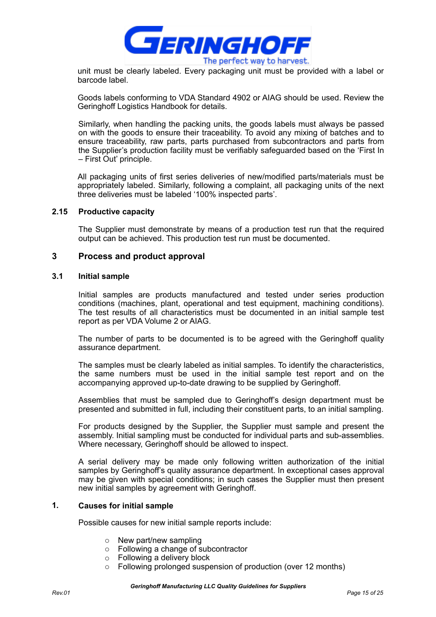

unit must be clearly labeled. Every packaging unit must be provided with a label or barcode label.

Goods labels conforming to VDA Standard 4902 or AIAG should be used. Review the Geringhoff Logistics Handbook for details.

Similarly, when handling the packing units, the goods labels must always be passed on with the goods to ensure their traceability. To avoid any mixing of batches and to ensure traceability, raw parts, parts purchased from subcontractors and parts from the Supplier's production facility must be verifiably safeguarded based on the 'First In – First Out' principle.

All packaging units of first series deliveries of new/modified parts/materials must be appropriately labeled. Similarly, following a complaint, all packaging units of the next three deliveries must be labeled '100% inspected parts'.

#### **2.15 Productive capacity**

The Supplier must demonstrate by means of a production test run that the required output can be achieved. This production test run must be documented.

#### **3 Process and product approval**

#### **3.1 Initial sample**

Initial samples are products manufactured and tested under series production conditions (machines, plant, operational and test equipment, machining conditions). The test results of all characteristics must be documented in an initial sample test report as per VDA Volume 2 or AIAG.

The number of parts to be documented is to be agreed with the Geringhoff quality assurance department.

The samples must be clearly labeled as initial samples. To identify the characteristics, the same numbers must be used in the initial sample test report and on the accompanying approved up-to-date drawing to be supplied by Geringhoff.

Assemblies that must be sampled due to Geringhoff's design department must be presented and submitted in full, including their constituent parts, to an initial sampling.

For products designed by the Supplier, the Supplier must sample and present the assembly. Initial sampling must be conducted for individual parts and sub-assemblies. Where necessary, Geringhoff should be allowed to inspect.

A serial delivery may be made only following written authorization of the initial samples by Geringhoff's quality assurance department. In exceptional cases approval may be given with special conditions; in such cases the Supplier must then present new initial samples by agreement with Geringhoff.

## **1. Causes for initial sample**

Possible causes for new initial sample reports include:

- o New part/new sampling
- o Following a change of subcontractor
- o Following a delivery block
- o Following prolonged suspension of production (over 12 months)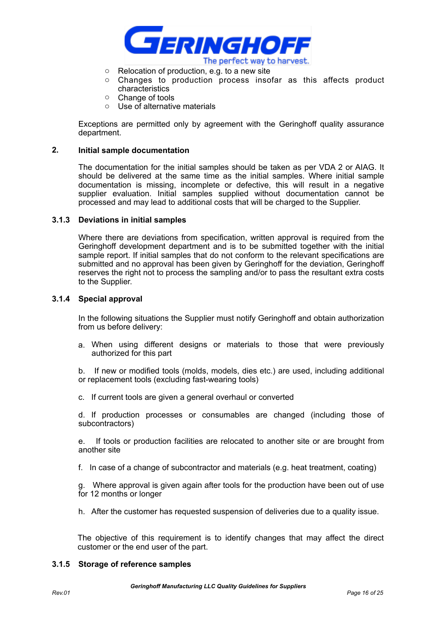

- o Relocation of production, e.g. to a new site
- o Changes to production process insofar as this affects product characteristics
- o Change of tools
- o Use of alternative materials

Exceptions are permitted only by agreement with the Geringhoff quality assurance department.

#### **2. Initial sample documentation**

The documentation for the initial samples should be taken as per VDA 2 or AIAG. It should be delivered at the same time as the initial samples. Where initial sample documentation is missing, incomplete or defective, this will result in a negative supplier evaluation. Initial samples supplied without documentation cannot be processed and may lead to additional costs that will be charged to the Supplier.

#### **3.1.3 Deviations in initial samples**

Where there are deviations from specification, written approval is required from the Geringhoff development department and is to be submitted together with the initial sample report. If initial samples that do not conform to the relevant specifications are submitted and no approval has been given by Geringhoff for the deviation, Geringhoff reserves the right not to process the sampling and/or to pass the resultant extra costs to the Supplier.

#### **3.1.4 Special approval**

In the following situations the Supplier must notify Geringhoff and obtain authorization from us before delivery:

a. When using different designs or materials to those that were previously authorized for this part

b. If new or modified tools (molds, models, dies etc.) are used, including additional or replacement tools (excluding fast-wearing tools)

c. If current tools are given a general overhaul or converted

d. If production processes or consumables are changed (including those of subcontractors)

e. If tools or production facilities are relocated to another site or are brought from another site

f. In case of a change of subcontractor and materials (e.g. heat treatment, coating)

g. Where approval is given again after tools for the production have been out of use for 12 months or longer

h. After the customer has requested suspension of deliveries due to a quality issue.

The objective of this requirement is to identify changes that may affect the direct customer or the end user of the part.

#### **3.1.5 Storage of reference samples**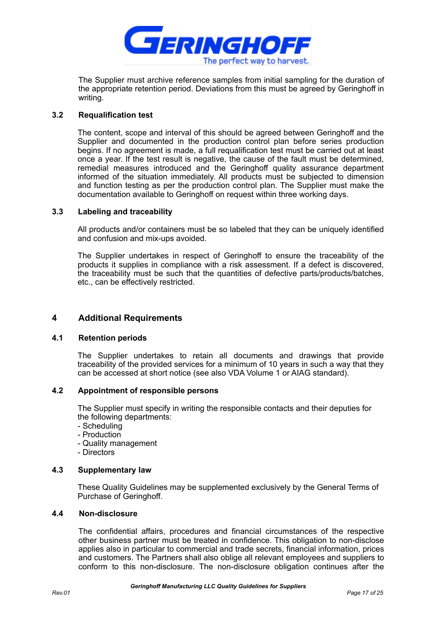

The Supplier must archive reference samples from initial sampling for the duration of the appropriate retention period. Deviations from this must be agreed by Geringhoff in writing.

#### **3.2 Requalification test**

The content, scope and interval of this should be agreed between Geringhoff and the Supplier and documented in the production control plan before series production begins. If no agreement is made, a full requalification test must be carried out at least once a year. If the test result is negative, the cause of the fault must be determined, remedial measures introduced and the Geringhoff quality assurance department informed of the situation immediately. All products must be subjected to dimension and function testing as per the production control plan. The Supplier must make the documentation available to Geringhoff on request within three working days.

#### **3.3 Labeling and traceability**

All products and/or containers must be so labeled that they can be uniquely identified and confusion and mix-ups avoided.

The Supplier undertakes in respect of Geringhoff to ensure the traceability of the products it supplies in compliance with a risk assessment. If a defect is discovered, the traceability must be such that the quantities of defective parts/products/batches, etc., can be effectively restricted.

#### **4 Additional Requirements**

#### **4.1 Retention periods**

The Supplier undertakes to retain all documents and drawings that provide traceability of the provided services for a minimum of 10 years in such a way that they can be accessed at short notice (see also VDA Volume 1 or AIAG standard).

#### **4.2 Appointment of responsible persons**

The Supplier must specify in writing the responsible contacts and their deputies for the following departments:

- Scheduling
- Production
- Quality management
- Directors

#### **4.3 Supplementary law**

These Quality Guidelines may be supplemented exclusively by the General Terms of Purchase of Geringhoff.

#### **4.4 Non-disclosure**

The confidential affairs, procedures and financial circumstances of the respective other business partner must be treated in confidence. This obligation to non-disclose applies also in particular to commercial and trade secrets, financial information, prices and customers. The Partners shall also oblige all relevant employees and suppliers to conform to this non-disclosure. The non-disclosure obligation continues after the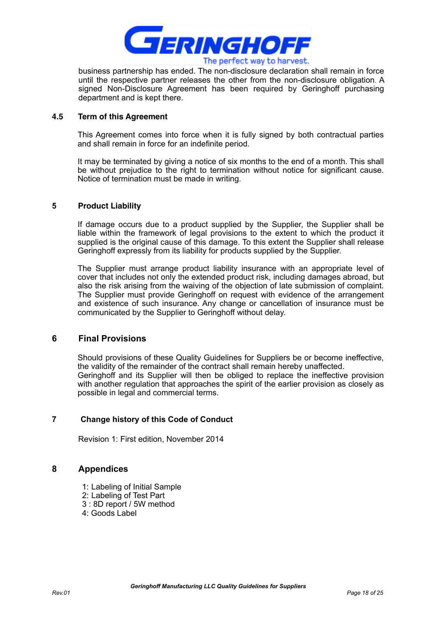

business partnership has ended. The non-disclosure declaration shall remain in force until the respective partner releases the other from the non-disclosure obligation. A signed Non-Disclosure Agreement has been required by Geringhoff purchasing department and is kept there.

#### **4.5 Term of this Agreement**

This Agreement comes into force when it is fully signed by both contractual parties and shall remain in force for an indefinite period.

It may be terminated by giving a notice of six months to the end of a month. This shall be without prejudice to the right to termination without notice for significant cause. Notice of termination must be made in writing.

#### **5 Product Liability**

If damage occurs due to a product supplied by the Supplier, the Supplier shall be liable within the framework of legal provisions to the extent to which the product it supplied is the original cause of this damage. To this extent the Supplier shall release Geringhoff expressly from its liability for products supplied by the Supplier.

The Supplier must arrange product liability insurance with an appropriate level of cover that includes not only the extended product risk, including damages abroad, but also the risk arising from the waiving of the objection of late submission of complaint. The Supplier must provide Geringhoff on request with evidence of the arrangement and existence of such insurance. Any change or cancellation of insurance must be communicated by the Supplier to Geringhoff without delay.

#### **6 Final Provisions**

Should provisions of these Quality Guidelines for Suppliers be or become ineffective, the validity of the remainder of the contract shall remain hereby unaffected. Geringhoff and its Supplier will then be obliged to replace the ineffective provision with another regulation that approaches the spirit of the earlier provision as closely as possible in legal and commercial terms.

#### **7 Change history of this Code of Conduct**

Revision 1: First edition, November 2014

## **8 Appendices**

- 1: Labeling of Initial Sample
- 2: Labeling of Test Part
- 3 : 8D report / 5W method
- 4: Goods Label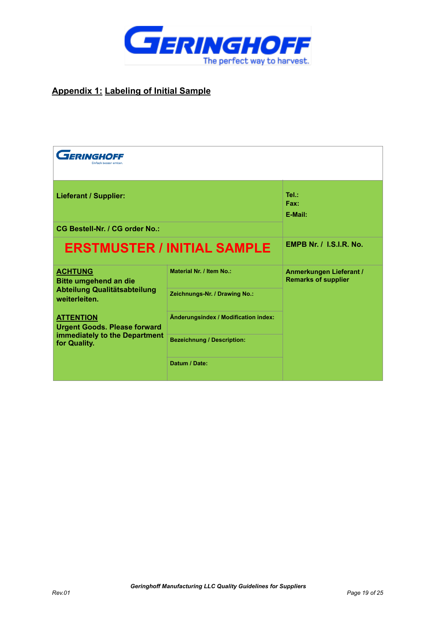

## **Appendix 1: Labeling of Initial Sample**

| <b>FERINGHOFF</b>                                       |                                      |                                                       |
|---------------------------------------------------------|--------------------------------------|-------------------------------------------------------|
| <b>Lieferant / Supplier:</b>                            |                                      | Tel.:<br>Fax:<br>E-Mail:                              |
| <b>CG Bestell-Nr. / CG order No.:</b>                   |                                      |                                                       |
|                                                         | <b>ERSTMUSTER / INITIAL SAMPLE</b>   | <b>EMPB Nr. / I.S.I.R. No.</b>                        |
| <b>ACHTUNG</b><br><b>Bitte umgehend an die</b>          | Material Nr. / Item No.:             | Anmerkungen Lieferant /<br><b>Remarks of supplier</b> |
| Abteilung Qualitätsabteilung<br>weiterleiten.           | Zeichnungs-Nr. / Drawing No.:        |                                                       |
| <b>ATTENTION</b><br><b>Urgent Goods. Please forward</b> | Änderungsindex / Modification index: |                                                       |
| immediately to the Department<br>for Quality.           | <b>Bezeichnung / Description:</b>    |                                                       |
|                                                         | Datum / Date:                        |                                                       |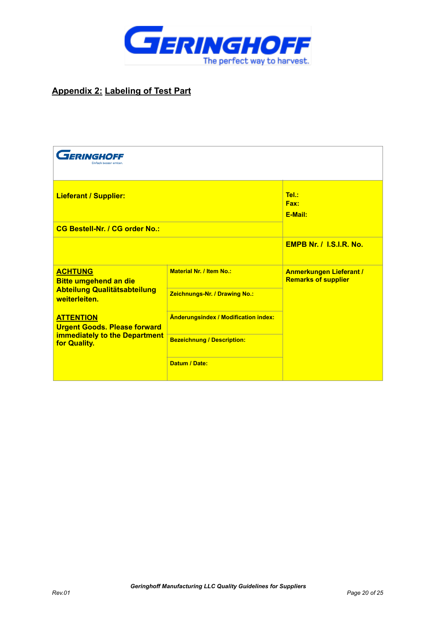

## **Appendix 2: Labeling of Test Part**

| <b>FERINGHOFF</b>                                       |                                             |                                                              |
|---------------------------------------------------------|---------------------------------------------|--------------------------------------------------------------|
| <b>Lieferant / Supplier:</b>                            |                                             | Tel.:<br>Fax:<br>E-Mail:                                     |
| <b>CG Bestell-Nr. / CG order No.:</b>                   |                                             |                                                              |
|                                                         |                                             | <b>EMPB Nr. / I.S.I.R. No.</b>                               |
| <b>ACHTUNG</b><br><b>Bitte umgehend an die</b>          | <b>Material Nr. / Item No.:</b>             | <b>Anmerkungen Lieferant /</b><br><b>Remarks of supplier</b> |
| <b>Abteilung Qualitätsabteilung</b><br>weiterleiten.    | Zeichnungs-Nr. / Drawing No.:               |                                                              |
| <b>ATTENTION</b><br><b>Urgent Goods. Please forward</b> | <b>Änderungsindex / Modification index:</b> |                                                              |
| <b>immediately to the Department</b><br>for Quality.    | <b>Bezeichnung / Description:</b>           |                                                              |
|                                                         | Datum / Date:                               |                                                              |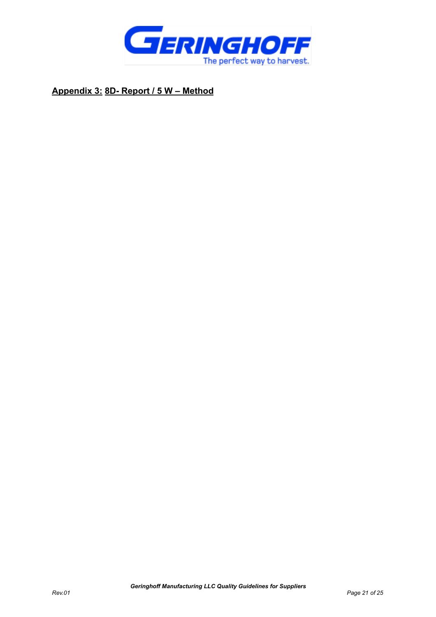

**Appendix 3: 8D- Report / 5 W – Method**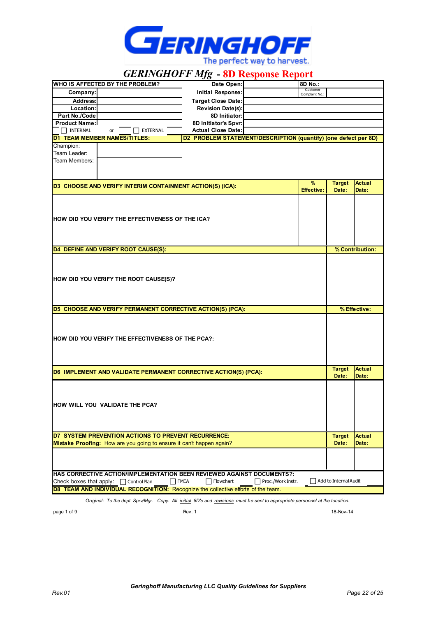

*GERINGHOFF Mfg* **- 8D Response Report**

|                                                                                              | WHO IS AFFECTED BY THE PROBLEM?                                      | Date Open:                                                                                                                   | 8D No.:                   |                       |                 |
|----------------------------------------------------------------------------------------------|----------------------------------------------------------------------|------------------------------------------------------------------------------------------------------------------------------|---------------------------|-----------------------|-----------------|
| Company:                                                                                     |                                                                      | Initial Response:                                                                                                            | Customer<br>Complaint No. |                       |                 |
| Address:                                                                                     |                                                                      | <b>Target Close Date:</b>                                                                                                    |                           |                       |                 |
| Location:                                                                                    |                                                                      | <b>Revision Date(s):</b>                                                                                                     |                           |                       |                 |
| Part No./Code                                                                                |                                                                      | 8D Initiator:                                                                                                                |                           |                       |                 |
| <b>Product Name:</b>                                                                         |                                                                      | 8D Initiator's Spvr:                                                                                                         |                           |                       |                 |
| $\Box$ INTERNAL                                                                              | EXTERNAL<br>or                                                       | <b>Actual Close Date:</b>                                                                                                    |                           |                       |                 |
|                                                                                              | <b>D1 TEAM MEMBER NAMES/TITLES:</b>                                  | D2 PROBLEM STATEMENT/DESCRIPTION (quantify) (one defect per 8D)                                                              |                           |                       |                 |
| Champion:<br>Team Leader:                                                                    |                                                                      |                                                                                                                              |                           |                       |                 |
| Team Members:                                                                                |                                                                      |                                                                                                                              |                           |                       |                 |
|                                                                                              |                                                                      |                                                                                                                              |                           |                       |                 |
|                                                                                              |                                                                      |                                                                                                                              |                           |                       |                 |
|                                                                                              |                                                                      |                                                                                                                              | %                         | <b>Target</b>         | <b>Actual</b>   |
|                                                                                              | D3 CHOOSE AND VERIFY INTERIM CONTAINMENT ACTION(S) (ICA):            |                                                                                                                              | <b>Effective:</b>         | Date:                 | Date:           |
|                                                                                              |                                                                      |                                                                                                                              |                           |                       |                 |
|                                                                                              |                                                                      |                                                                                                                              |                           |                       |                 |
|                                                                                              |                                                                      |                                                                                                                              |                           |                       |                 |
|                                                                                              | HOW DID YOU VERIFY THE EFFECTIVENESS OF THE ICA?                     |                                                                                                                              |                           |                       |                 |
|                                                                                              |                                                                      |                                                                                                                              |                           |                       |                 |
|                                                                                              |                                                                      |                                                                                                                              |                           |                       |                 |
|                                                                                              | D4 DEFINE AND VERIFY ROOT CAUSE(S):                                  |                                                                                                                              |                           |                       | % Contribution: |
|                                                                                              |                                                                      |                                                                                                                              |                           |                       |                 |
|                                                                                              |                                                                      |                                                                                                                              |                           |                       |                 |
|                                                                                              |                                                                      |                                                                                                                              |                           |                       |                 |
|                                                                                              | HOW DID YOU VERIFY THE ROOT CAUSE(S)?                                |                                                                                                                              |                           |                       |                 |
|                                                                                              |                                                                      |                                                                                                                              |                           |                       |                 |
|                                                                                              |                                                                      |                                                                                                                              |                           |                       |                 |
|                                                                                              |                                                                      |                                                                                                                              |                           |                       |                 |
|                                                                                              | D5 CHOOSE AND VERIFY PERMANENT CORRECTIVE ACTION(S) (PCA):           |                                                                                                                              |                           |                       | % Effective:    |
|                                                                                              |                                                                      |                                                                                                                              |                           |                       |                 |
|                                                                                              |                                                                      |                                                                                                                              |                           |                       |                 |
|                                                                                              | HOW DID YOU VERIFY THE EFFECTIVENESS OF THE PCA?:                    |                                                                                                                              |                           |                       |                 |
|                                                                                              |                                                                      |                                                                                                                              |                           |                       |                 |
|                                                                                              |                                                                      |                                                                                                                              |                           |                       |                 |
|                                                                                              |                                                                      |                                                                                                                              |                           |                       |                 |
|                                                                                              | D6 IMPLEMENT AND VALIDATE PERMANENT CORRECTIVE ACTION(S) (PCA):      |                                                                                                                              |                           | <b>Target</b>         | <b>Actual</b>   |
|                                                                                              |                                                                      |                                                                                                                              |                           | Date:                 | Date:           |
|                                                                                              |                                                                      |                                                                                                                              |                           |                       |                 |
|                                                                                              |                                                                      |                                                                                                                              |                           |                       |                 |
|                                                                                              | HOW WILL YOU VALIDATE THE PCA?                                       |                                                                                                                              |                           |                       |                 |
|                                                                                              |                                                                      |                                                                                                                              |                           |                       |                 |
|                                                                                              |                                                                      |                                                                                                                              |                           |                       |                 |
|                                                                                              |                                                                      |                                                                                                                              |                           |                       |                 |
|                                                                                              | D7 SYSTEM PREVENTION ACTIONS TO PREVENT RECURRENCE:                  |                                                                                                                              |                           | <b>Target</b>         | <b>Actual</b>   |
|                                                                                              | Mistake Proofing: How are you going to ensure it can't happen again? |                                                                                                                              |                           | Date:                 | Date:           |
|                                                                                              |                                                                      |                                                                                                                              |                           |                       |                 |
|                                                                                              |                                                                      |                                                                                                                              |                           |                       |                 |
|                                                                                              |                                                                      |                                                                                                                              |                           |                       |                 |
|                                                                                              |                                                                      | <b>HAS CORRECTIVE ACTION/IMPLEMENTATION BEEN REVIEWED AGAINST DOCUMENTS?:</b>                                                |                           |                       |                 |
| $\Box$ FMEA<br>$\Box$ Flowchart<br>Proc./Work Instr.<br>Check boxes that apply: Control Plan |                                                                      |                                                                                                                              |                           | Add to Internal Audit |                 |
|                                                                                              |                                                                      | D8 TEAM AND INDIVIDUAL RECOGNITION: Recognize the collective efforts of the team.                                            |                           |                       |                 |
|                                                                                              |                                                                      | Original: To the dept. Sprv/Mgr. Copy: All initial 8D's and revisions must be sent to appropriate personnel at the location. |                           |                       |                 |
|                                                                                              |                                                                      |                                                                                                                              |                           |                       |                 |

page 1 of 9 and 18-Nov-14 Rev. 1 Rev. 1 and 2012 18: Nov-14 and 2013 18: Nov-14 and 2013 18: Nov-14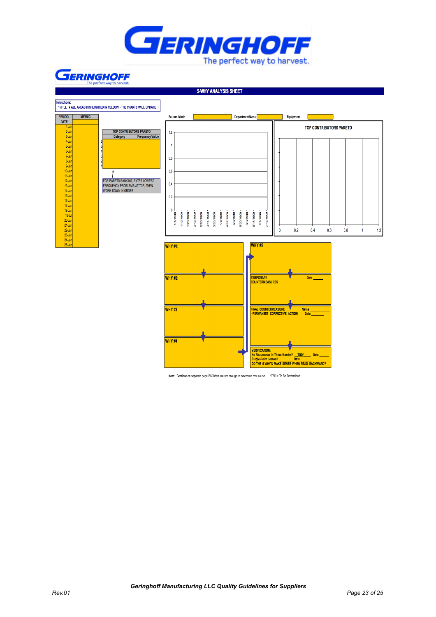

## **GERINGHOFF**

**5-WHY ANALYSIS SHEET** 



Note: Continue on separate page if 5-Whys are not enough to determine root cause. \*TBD = To Be Determined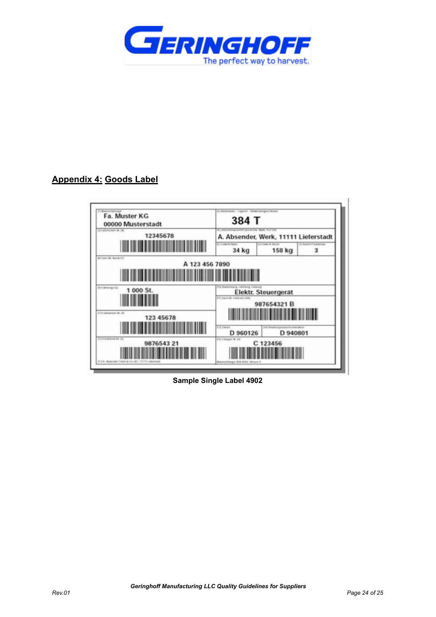

## **Appendix 4: Goods Label**

| Fa. Muster KG                                   | (1) Altabetells - Lagarat - Howarskeges Henne                                            |                     |                           |
|-------------------------------------------------|------------------------------------------------------------------------------------------|---------------------|---------------------------|
| 00000 Musterstadt                               | 384 T                                                                                    |                     |                           |
| (3) Lichtmichight, N. (N.)                      | AT LATA emoty/action (NLA Brome, Work, IVLY CES.                                         |                     |                           |
| 12345678                                        | A. Absender, Werk, 11111 Lieferstadt                                                     |                     |                           |
|                                                 | <b>CJ Coverts Netto</b>                                                                  | (CLITCHMATHE SPAIN) | IT: And of IT's better by |
|                                                 | 34 kg                                                                                    | 158 kg              | 3                         |
| A 123 456 7890<br>TO F (Wrange IS)<br>1 000 St. | (11) Illustrates Latinung, Londong<br>IT TO THAT A PART LINE BY A RETAIL                 | Elektr. Steuergerat |                           |
| (USS MARATON NO OR<br>123 45678                 | 987654321B<br><b>IT IS TORONTO</b><br>(4) Anniversitation resume<br>D 960126<br>D 940801 |                     |                           |
| (NUPalements) 24<br>9876543 21                  | IN Charges M. 24                                                                         | C 123456            |                           |

**Sample Single Label 4902**